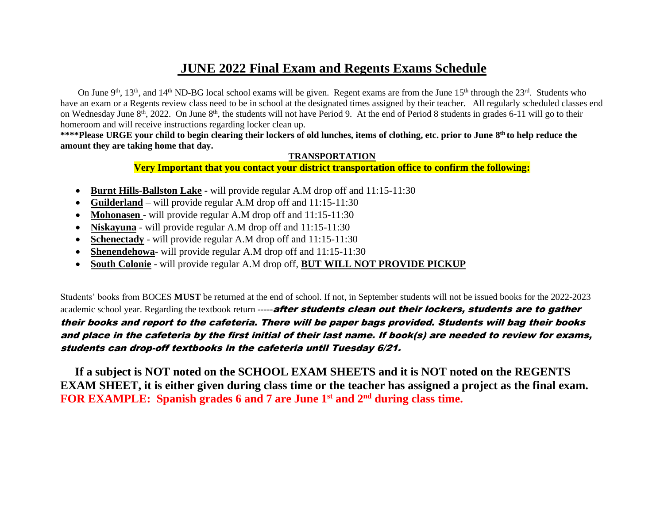#### **JUNE 2022 Final Exam and Regents Exams Schedule**

On June 9<sup>th</sup>, 13<sup>th</sup>, and 14<sup>th</sup> ND-BG local school exams will be given. Regent exams are from the June 15<sup>th</sup> through the 23<sup>rd</sup>. Students who have an exam or a Regents review class need to be in school at the designated times assigned by their teacher. All regularly scheduled classes end on Wednesday June 8<sup>th</sup>, 2022. On June 8<sup>th</sup>, the students will not have Period 9. At the end of Period 8 students in grades 6-11 will go to their homeroom and will receive instructions regarding locker clean up.

\*\*\*\*Please URGE your child to begin clearing their lockers of old lunches, items of clothing, etc. prior to June 8<sup>th</sup> to help reduce the **amount they are taking home that day.**

#### **TRANSPORTATION**

**Very Important that you contact your district transportation office to confirm the following:**

- **Burnt Hills-Ballston Lake -** will provide regular A.M drop off and 11:15-11:30
- **Guilderland** will provide regular A.M drop off and 11:15-11:30
- **Mohonasen -** will provide regular A.M drop off and 11:15-11:30
- **Niskayuna** will provide regular A.M drop off and 11:15-11:30
- **Schenectady** will provide regular A.M drop off and  $11:15-11:30$
- **Shenendehowa** will provide regular A.M drop off and 11:15-11:30
- **South Colonie** will provide regular A.M drop off, **BUT WILL NOT PROVIDE PICKUP**

Students' books from BOCES **MUST** be returned at the end of school. If not, in September students will not be issued books for the 2022-2023 academic school year. Regarding the textbook return -----after students clean out their lockers, students are to gather their books and report to the cafeteria. There will be paper bags provided. Students will bag their books and place in the cafeteria by the first initial of their last name. If book(s) are needed to review for exams, students can drop-off textbooks in the cafeteria until Tuesday 6/21.

 **If a subject is NOT noted on the SCHOOL EXAM SHEETS and it is NOT noted on the REGENTS EXAM SHEET, it is either given during class time or the teacher has assigned a project as the final exam. FOR EXAMPLE: Spanish grades 6 and 7 are June 1st and 2nd during class time.**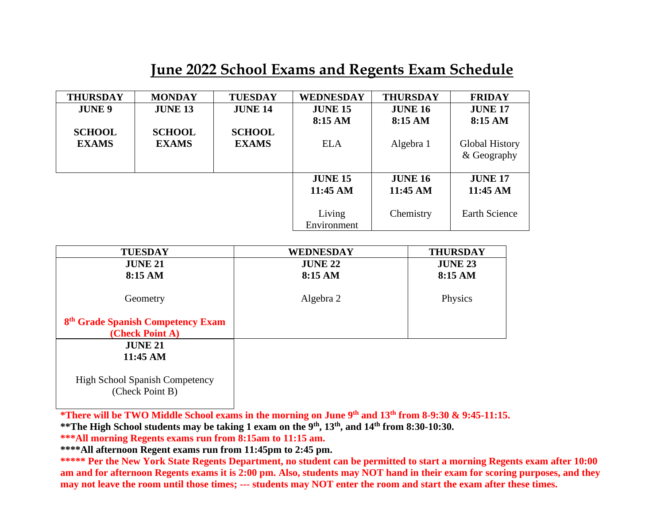### **June 2022 School Exams and Regents Exam Schedule**

| <b>THURSDAY</b> | <b>MONDAY</b>  | <b>TUESDAY</b> | <b>WEDNESDAY</b> | <b>THURSDAY</b> | <b>FRIDAY</b>         |
|-----------------|----------------|----------------|------------------|-----------------|-----------------------|
| <b>JUNE 9</b>   | <b>JUNE 13</b> | <b>JUNE 14</b> | <b>JUNE 15</b>   | <b>JUNE 16</b>  | <b>JUNE 17</b>        |
|                 |                |                | 8:15 AM          | 8:15 AM         | 8:15 AM               |
| <b>SCHOOL</b>   | <b>SCHOOL</b>  | <b>SCHOOL</b>  |                  |                 |                       |
| <b>EXAMS</b>    | <b>EXAMS</b>   | <b>EXAMS</b>   | <b>ELA</b>       | Algebra 1       | <b>Global History</b> |
|                 |                |                |                  |                 | & Geography           |
|                 |                |                |                  |                 |                       |
|                 |                |                | <b>JUNE 15</b>   | <b>JUNE 16</b>  | <b>JUNE 17</b>        |
|                 |                |                | 11:45 AM         | 11:45 AM        | 11:45 AM              |
|                 |                |                |                  |                 |                       |
|                 |                |                | Living           | Chemistry       | <b>Earth Science</b>  |
|                 |                |                | Environment      |                 |                       |

| <b>TUESDAY</b>                                                   | WEDNESDAY      | <b>THURSDAY</b> |
|------------------------------------------------------------------|----------------|-----------------|
| <b>JUNE 21</b>                                                   | <b>JUNE 22</b> | <b>JUNE 23</b>  |
| 8:15 AM                                                          | 8:15 AM        | 8:15 AM         |
| Geometry                                                         | Algebra 2      | Physics         |
| 8 <sup>th</sup> Grade Spanish Competency Exam<br>(Check Point A) |                |                 |
| <b>JUNE 21</b><br>11:45 AM                                       |                |                 |
|                                                                  |                |                 |

High School Spanish Competency (Check Point B)

**\*There will be TWO Middle School exams in the morning on June 9 th and 13 th from 8-9:30 & 9:45-11:15.** 

**\*\*The High School students may be taking 1 exam on the 9th, 13th , and 14th from 8:30-10:30.** 

**\*\*\*All morning Regents exams run from 8:15am to 11:15 am.** 

**\*\*\*\*All afternoon Regent exams run from 11:45pm to 2:45 pm.** 

**\*\*\*\*\* Per the New York State Regents Department, no student can be permitted to start a morning Regents exam after 10:00 am and for afternoon Regents exams it is 2:00 pm. Also, students may NOT hand in their exam for scoring purposes, and they may not leave the room until those times; --- students may NOT enter the room and start the exam after these times.**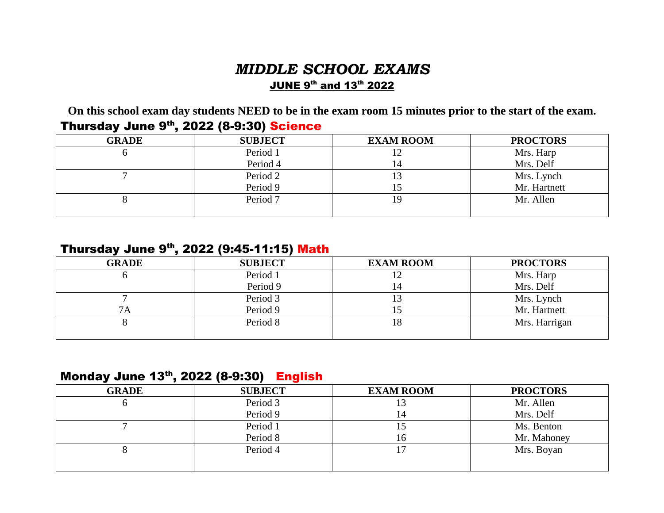#### *MIDDLE SCHOOL EXAMS*  JUNE 9 th and 13th 2022

**On this school exam day students NEED to be in the exam room 15 minutes prior to the start of the exam.**

| <b>GRADE</b> | <b>SUBJECT</b> | <b>EXAM ROOM</b> | <b>PROCTORS</b> |
|--------------|----------------|------------------|-----------------|
|              | Period 1       | 12               | Mrs. Harp       |
|              | Period 4       | 14               | Mrs. Delf       |
|              | Period 2       | 13               | Mrs. Lynch      |
|              | Period 9       | 15               | Mr. Hartnett    |
|              | Period 7       | 19               | Mr. Allen       |
|              |                |                  |                 |

#### Thursday June 9<sup>th</sup>, 2022 (8-9:30) Science

#### Thursday June 9<sup>th</sup>, 2022 (9:45-11:15) <mark>Math</mark>

| <b>GRADE</b> | <b>SUBJECT</b> | <b>EXAM ROOM</b> | <b>PROCTORS</b> |
|--------------|----------------|------------------|-----------------|
|              | Period 1       |                  | Mrs. Harp       |
|              | Period 9       | 14.              | Mrs. Delf       |
|              | Period 3       | 13               | Mrs. Lynch      |
| 7 A          | Period 9       |                  | Mr. Hartnett    |
|              | Period 8       | 18               | Mrs. Harrigan   |
|              |                |                  |                 |

#### Monday June 13th, 2022 (8-9:30) English

| -            | . .            |                  |                 |
|--------------|----------------|------------------|-----------------|
| <b>GRADE</b> | <b>SUBJECT</b> | <b>EXAM ROOM</b> | <b>PROCTORS</b> |
|              | Period 3       |                  | Mr. Allen       |
|              | Period 9       | l 4              | Mrs. Delf       |
|              | Period 1       |                  | Ms. Benton      |
|              | Period 8       | I h              | Mr. Mahoney     |
|              | Period 4       |                  | Mrs. Boyan      |
|              |                |                  |                 |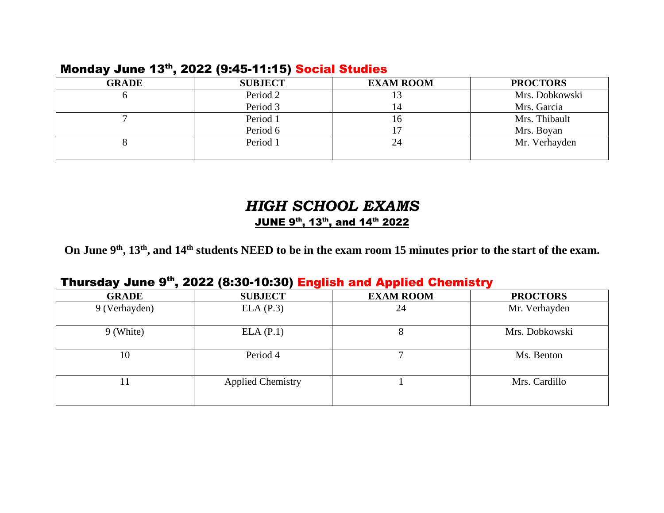#### Monday June 13th, 2022 (9:45-11:15) Social Studies

| <b>GRADE</b> | <b>SUBJECT</b> | <b>EXAM ROOM</b> | <b>PROCTORS</b> |
|--------------|----------------|------------------|-----------------|
|              | Period 2       | 13               | Mrs. Dobkowski  |
|              | Period 3       | 14               | Mrs. Garcia     |
|              | Period 1       | 16               | Mrs. Thibault   |
|              | Period 6       |                  | Mrs. Boyan      |
|              | Period 1       | 24               | Mr. Verhayden   |
|              |                |                  |                 |

### *HIGH SCHOOL EXAMS*  JUNE 9 th , 13th, and 14th 2022

**On June 9 th , 13th, and 14th students NEED to be in the exam room 15 minutes prior to the start of the exam.**

#### Thursday June 9<sup>th</sup>, 2022 (8:30-10:30) English and Applied Chemistry

| <b>GRADE</b>  | <b>SUBJECT</b>           | <b>EXAM ROOM</b> | <b>PROCTORS</b> |
|---------------|--------------------------|------------------|-----------------|
| 9 (Verhayden) | ELA (P.3)                | 24               | Mr. Verhayden   |
| 9 (White)     | ELA (P.1)                | $\circ$          | Mrs. Dobkowski  |
| 10            | Period 4                 |                  | Ms. Benton      |
|               | <b>Applied Chemistry</b> |                  | Mrs. Cardillo   |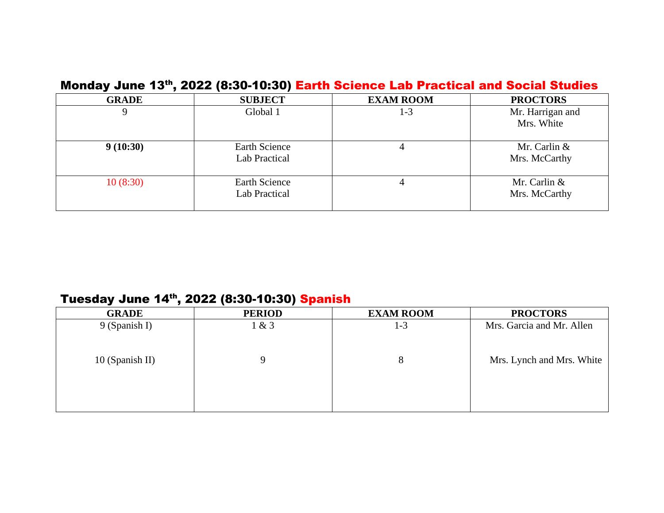|              |                                       | <b>MONDAY VANG TO TEDAG (UPOF LUPIL) FALUI OCIGILG LAN FIACLICAI ANU OUCIAI OLUMIGS</b> |                                 |
|--------------|---------------------------------------|-----------------------------------------------------------------------------------------|---------------------------------|
| <b>GRADE</b> | <b>SUBJECT</b>                        | <b>EXAM ROOM</b>                                                                        | <b>PROCTORS</b>                 |
|              | Global 1                              | 1-3                                                                                     | Mr. Harrigan and<br>Mrs. White  |
| 9(10:30)     | <b>Earth Science</b><br>Lab Practical |                                                                                         | Mr. Carlin &<br>Mrs. McCarthy   |
| 10(8:30)     | Earth Science<br>Lab Practical        |                                                                                         | Mr. Carlin $&$<br>Mrs. McCarthy |

#### Monday June 13th, 2022 (8:30-10:30) Earth Science Lab Practical and Social Studies

#### Tuesday June 14<sup>th</sup>, 2022 (8:30-10:30) <mark>Spanish</mark>

| $1 - 3$ | Mrs. Garcia and Mr. Allen |
|---------|---------------------------|
|         |                           |
| 8       | Mrs. Lynch and Mrs. White |
|         |                           |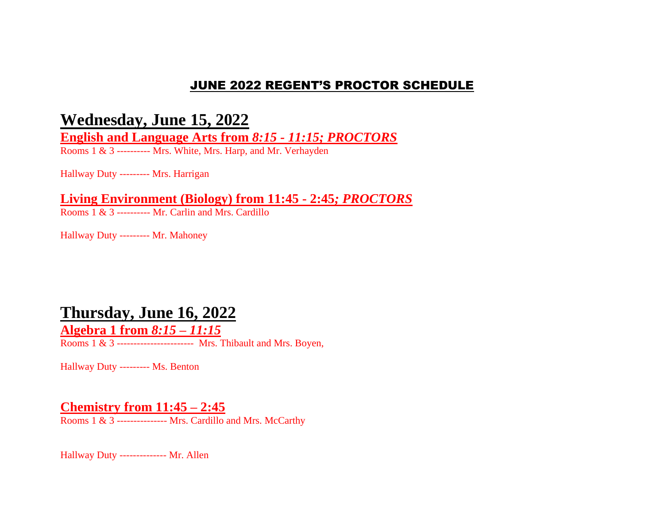#### JUNE 2022 REGENT'S PROCTOR SCHEDULE

### **Wednesday, June 15, 2022**

**English and Language Arts from** *8:15 - 11:15; PROCTORS*

Rooms 1 & 3 ---------- Mrs. White, Mrs. Harp, and Mr. Verhayden

Hallway Duty --------- Mrs. Harrigan

**Living Environment (Biology) from 11:45 - 2:45***; PROCTORS*

Rooms 1 & 3 ---------- Mr. Carlin and Mrs. Cardillo

Hallway Duty --------- Mr. Mahoney

### **Thursday, June 16, 2022**

**Algebra 1 from** *8:15 – 11:15*

Rooms 1 & 3 ----------------------- Mrs. Thibault and Mrs. Boyen,

Hallway Duty --------- Ms. Benton

#### **Chemistry from 11:45 – 2:45**

Rooms 1 & 3 -------------- Mrs. Cardillo and Mrs. McCarthy

Hallway Duty -------------- Mr. Allen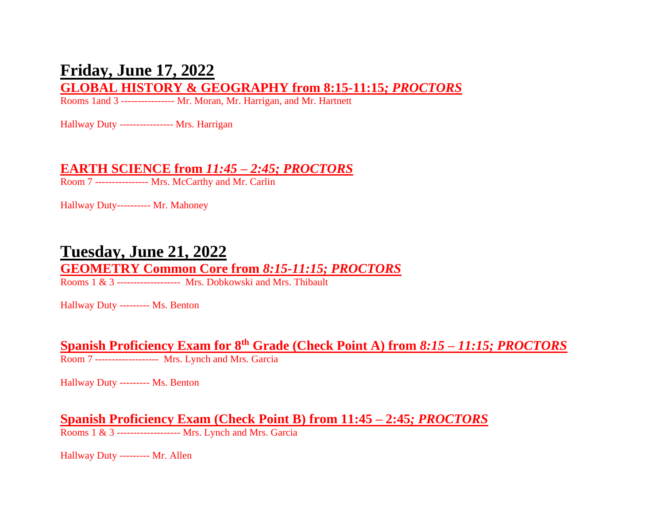## **Friday, June 17, 2022**

#### **GLOBAL HISTORY & GEOGRAPHY from 8:15-11:15***; PROCTORS*

Rooms 1and 3 ---------------- Mr. Moran, Mr. Harrigan, and Mr. Hartnett

Hallway Duty ---------------- Mrs. Harrigan

#### **EARTH SCIENCE from** *11:45 – 2:45; PROCTORS*

Room 7 ---------------- Mrs. McCarthy and Mr. Carlin

Hallway Duty---------- Mr. Mahoney

### **Tuesday, June 21, 2022**

## **GEOMETRY Common Core from** *8:15-11:15; PROCTORS*

Rooms 1 & 3 ------------------- Mrs. Dobkowski and Mrs. Thibault

Hallway Duty --------- Ms. Benton

**Spanish Proficiency Exam for 8th Grade (Check Point A) from** *8:15 – 11:15; PROCTORS*

Room 7 ------------------- Mrs. Lynch and Mrs. Garcia

Hallway Duty --------- Ms. Benton

**Spanish Proficiency Exam (Check Point B) from 11:45 – 2:45***; PROCTORS*

Rooms 1 & 3 ------------------- Mrs. Lynch and Mrs. Garcia

Hallway Duty --------- Mr. Allen